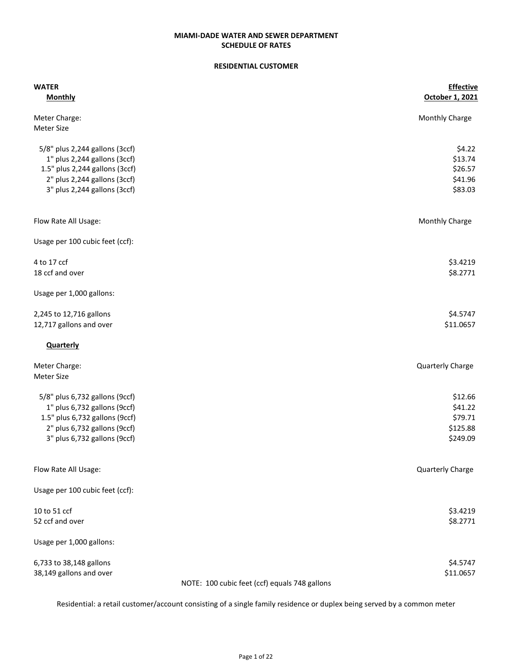#### RESIDENTIAL CUSTOMER

| <b>WATER</b><br><b>Monthly</b>                | <b>Effective</b><br>October 1, 2021 |
|-----------------------------------------------|-------------------------------------|
| Meter Charge:<br><b>Meter Size</b>            | Monthly Charge                      |
|                                               |                                     |
| 5/8" plus 2,244 gallons (3ccf)                | \$4.22                              |
| 1" plus 2,244 gallons (3ccf)                  | \$13.74                             |
| 1.5" plus 2,244 gallons (3ccf)                | \$26.57                             |
| 2" plus 2,244 gallons (3ccf)                  | \$41.96                             |
| 3" plus 2,244 gallons (3ccf)                  | \$83.03                             |
| Flow Rate All Usage:                          | Monthly Charge                      |
| Usage per 100 cubic feet (ccf):               |                                     |
| 4 to 17 ccf                                   | \$3.4219                            |
| 18 ccf and over                               | \$8.2771                            |
| Usage per 1,000 gallons:                      |                                     |
| 2,245 to 12,716 gallons                       | \$4.5747                            |
| 12,717 gallons and over                       | \$11.0657                           |
| <b>Quarterly</b>                              |                                     |
| Meter Charge:                                 | Quarterly Charge                    |
| <b>Meter Size</b>                             |                                     |
| 5/8" plus 6,732 gallons (9ccf)                | \$12.66                             |
| 1" plus 6,732 gallons (9ccf)                  | \$41.22                             |
| 1.5" plus 6,732 gallons (9ccf)                | \$79.71                             |
| 2" plus 6,732 gallons (9ccf)                  | \$125.88                            |
| 3" plus 6,732 gallons (9ccf)                  | \$249.09                            |
| Flow Rate All Usage:                          | Quarterly Charge                    |
| Usage per 100 cubic feet (ccf):               |                                     |
| 10 to 51 ccf                                  | \$3.4219                            |
| 52 ccf and over                               | \$8.2771                            |
| Usage per 1,000 gallons:                      |                                     |
| 6,733 to 38,148 gallons                       | \$4.5747                            |
| 38,149 gallons and over                       | \$11.0657                           |
| NOTE: 100 cubic feet (ccf) equals 748 gallons |                                     |

Residential: a retail customer/account consisting of a single family residence or duplex being served by a common meter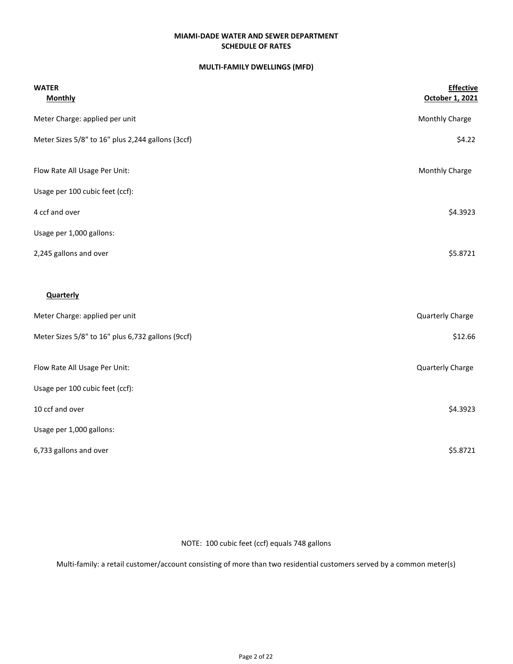### MULTI-FAMILY DWELLINGS (MFD)

| <b>WATER</b><br><b>Monthly</b>                    | <b>Effective</b><br>October 1, 2021 |
|---------------------------------------------------|-------------------------------------|
| Meter Charge: applied per unit                    | Monthly Charge                      |
| Meter Sizes 5/8" to 16" plus 2,244 gallons (3ccf) | \$4.22                              |
| Flow Rate All Usage Per Unit:                     | Monthly Charge                      |
| Usage per 100 cubic feet (ccf):                   |                                     |
| 4 ccf and over                                    | \$4.3923                            |
| Usage per 1,000 gallons:                          |                                     |
| 2,245 gallons and over                            | \$5.8721                            |
| <b>Quarterly</b>                                  |                                     |
| Meter Charge: applied per unit                    | Quarterly Charge                    |
| Meter Sizes 5/8" to 16" plus 6,732 gallons (9ccf) | \$12.66                             |
| Flow Rate All Usage Per Unit:                     | Quarterly Charge                    |
| Usage per 100 cubic feet (ccf):                   |                                     |
| 10 ccf and over                                   | \$4.3923                            |
| Usage per 1,000 gallons:                          |                                     |
| 6,733 gallons and over                            | \$5.8721                            |

NOTE: 100 cubic feet (ccf) equals 748 gallons

Multi-family: a retail customer/account consisting of more than two residential customers served by a common meter(s)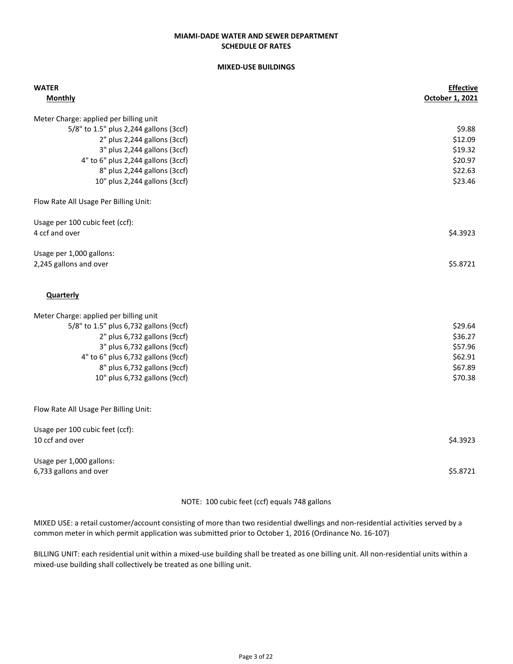### SCHEDULE OF RATES MIAMI-DADE WATER AND SEWER DEPARTMENT

#### MIXED-USE BUILDINGS

| <b>WATER</b><br><b>Monthly</b>         | <b>Effective</b><br>October 1, 2021 |
|----------------------------------------|-------------------------------------|
| Meter Charge: applied per billing unit |                                     |
| 5/8" to 1.5" plus 2,244 gallons (3ccf) | \$9.88                              |
| 2" plus 2,244 gallons (3ccf)           | \$12.09                             |
| 3" plus 2,244 gallons (3ccf)           | \$19.32                             |
| 4" to 6" plus 2,244 gallons (3ccf)     | \$20.97                             |
| 8" plus 2,244 gallons (3ccf)           | \$22.63                             |
| 10" plus 2,244 gallons (3ccf)          | \$23.46                             |
| Flow Rate All Usage Per Billing Unit:  |                                     |
| Usage per 100 cubic feet (ccf):        |                                     |
| 4 ccf and over                         | \$4.3923                            |
| Usage per 1,000 gallons:               |                                     |
| 2,245 gallons and over                 | \$5.8721                            |
|                                        |                                     |
| Quarterly                              |                                     |
| Meter Charge: applied per billing unit |                                     |
| 5/8" to 1.5" plus 6,732 gallons (9ccf) | \$29.64                             |
| 2" plus 6,732 gallons (9ccf)           | \$36.27                             |
| 3" plus 6,732 gallons (9ccf)           | \$57.96                             |
| 4" to 6" plus 6,732 gallons (9ccf)     | \$62.91                             |
| 8" plus 6,732 gallons (9ccf)           | \$67.89                             |
| 10" plus 6,732 gallons (9ccf)          | \$70.38                             |
| Flow Rate All Usage Per Billing Unit:  |                                     |
| Usage per 100 cubic feet (ccf):        |                                     |
| 10 ccf and over                        | \$4.3923                            |
| Usage per 1,000 gallons:               |                                     |
| 6,733 gallons and over                 | \$5.8721                            |
|                                        |                                     |

#### NOTE: 100 cubic feet (ccf) equals 748 gallons

MIXED USE: a retail customer/account consisting of more than two residential dwellings and non-residential activities served by a common meter in which permit application was submitted prior to October 1, 2016 (Ordinance No. 16-107)

BILLING UNIT: each residential unit within a mixed-use building shall be treated as one billing unit. All non-residential units within a mixed-use building shall collectively be treated as one billing unit.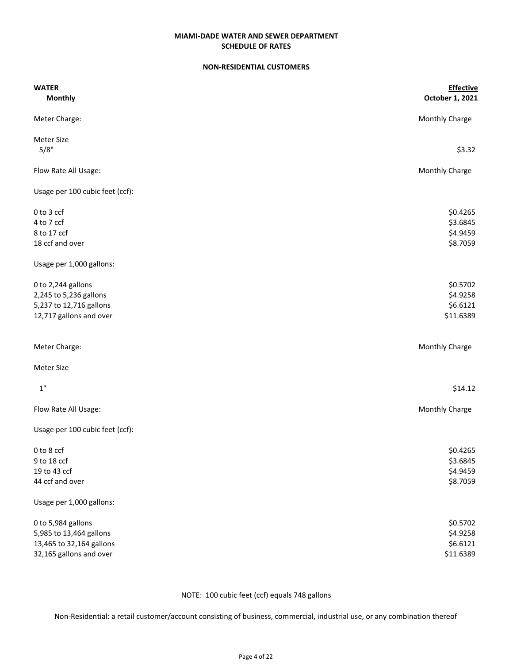### NON-RESIDENTIAL CUSTOMERS

| <b>WATER</b>                    | <b>Effective</b> |  |
|---------------------------------|------------------|--|
| <b>Monthly</b>                  | October 1, 2021  |  |
| Meter Charge:                   | Monthly Charge   |  |
| <b>Meter Size</b>               |                  |  |
| 5/8"                            | \$3.32           |  |
| Flow Rate All Usage:            | Monthly Charge   |  |
| Usage per 100 cubic feet (ccf): |                  |  |
| 0 to 3 ccf                      | \$0.4265         |  |
| 4 to 7 ccf                      | \$3.6845         |  |
| 8 to 17 ccf                     | \$4.9459         |  |
| 18 ccf and over                 | \$8.7059         |  |
| Usage per 1,000 gallons:        |                  |  |
| 0 to 2,244 gallons              | \$0.5702         |  |
| 2,245 to 5,236 gallons          | \$4.9258         |  |
| 5,237 to 12,716 gallons         | \$6.6121         |  |
| 12,717 gallons and over         | \$11.6389        |  |
| Meter Charge:                   | Monthly Charge   |  |
| Meter Size                      |                  |  |
| $1"$                            | \$14.12          |  |
| Flow Rate All Usage:            | Monthly Charge   |  |
| Usage per 100 cubic feet (ccf): |                  |  |
| 0 to 8 ccf                      | \$0.4265         |  |
| 9 to 18 ccf                     | \$3.6845         |  |
| 19 to 43 ccf                    | \$4.9459         |  |
| 44 ccf and over                 | \$8.7059         |  |
| Usage per 1,000 gallons:        |                  |  |
| 0 to 5,984 gallons              | \$0.5702         |  |
| 5,985 to 13,464 gallons         | \$4.9258         |  |
| 13,465 to 32,164 gallons        | \$6.6121         |  |
| 32,165 gallons and over         | \$11.6389        |  |

NOTE: 100 cubic feet (ccf) equals 748 gallons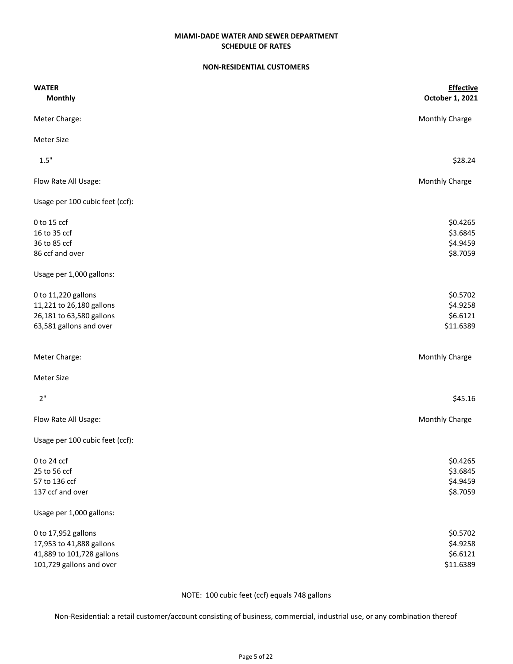## SCHEDULE OF RATES MIAMI-DADE WATER AND SEWER DEPARTMENT

### NON-RESIDENTIAL CUSTOMERS

| <b>WATER</b><br><b>Monthly</b>  | <b>Effective</b><br>October 1, 2021 |
|---------------------------------|-------------------------------------|
|                                 |                                     |
| Meter Charge:                   | Monthly Charge                      |
| <b>Meter Size</b>               |                                     |
| 1.5"                            | \$28.24                             |
| Flow Rate All Usage:            | Monthly Charge                      |
| Usage per 100 cubic feet (ccf): |                                     |
| 0 to 15 ccf                     | \$0.4265                            |
| 16 to 35 ccf                    | \$3.6845                            |
| 36 to 85 ccf                    | \$4.9459                            |
| 86 ccf and over                 | \$8.7059                            |
| Usage per 1,000 gallons:        |                                     |
| 0 to 11,220 gallons             | \$0.5702                            |
| 11,221 to 26,180 gallons        | \$4.9258                            |
| 26,181 to 63,580 gallons        | \$6.6121                            |
| 63,581 gallons and over         | \$11.6389                           |
| Meter Charge:                   | Monthly Charge                      |
| Meter Size                      |                                     |
| 2"                              | \$45.16                             |
| Flow Rate All Usage:            | Monthly Charge                      |
| Usage per 100 cubic feet (ccf): |                                     |
| 0 to 24 ccf                     | \$0.4265                            |
| 25 to 56 ccf                    | \$3.6845                            |
| 57 to 136 ccf                   | \$4.9459                            |
| 137 ccf and over                | \$8.7059                            |
| Usage per 1,000 gallons:        |                                     |
| 0 to 17,952 gallons             | \$0.5702                            |
| 17,953 to 41,888 gallons        | \$4.9258                            |
| 41,889 to 101,728 gallons       | \$6.6121                            |
| 101,729 gallons and over        | \$11.6389                           |

NOTE: 100 cubic feet (ccf) equals 748 gallons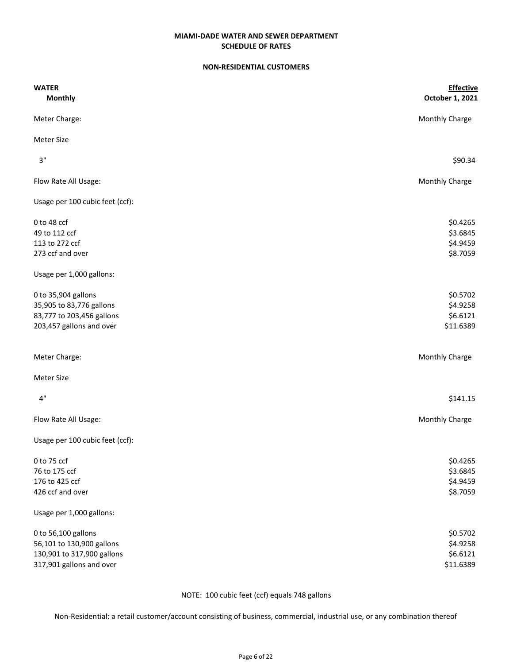### NON-RESIDENTIAL CUSTOMERS

| <b>WATER</b>                    | <b>Effective</b> |
|---------------------------------|------------------|
| <b>Monthly</b>                  | October 1, 2021  |
| Meter Charge:                   | Monthly Charge   |
| <b>Meter Size</b>               |                  |
| 3"                              | \$90.34          |
| Flow Rate All Usage:            | Monthly Charge   |
| Usage per 100 cubic feet (ccf): |                  |
| 0 to 48 ccf                     | \$0.4265         |
| 49 to 112 ccf                   | \$3.6845         |
| 113 to 272 ccf                  | \$4.9459         |
| 273 ccf and over                | \$8.7059         |
| Usage per 1,000 gallons:        |                  |
| 0 to 35,904 gallons             | \$0.5702         |
| 35,905 to 83,776 gallons        | \$4.9258         |
| 83,777 to 203,456 gallons       | \$6.6121         |
| 203,457 gallons and over        | \$11.6389        |
| Meter Charge:                   | Monthly Charge   |
| <b>Meter Size</b>               |                  |
| 4"                              | \$141.15         |
| Flow Rate All Usage:            | Monthly Charge   |
| Usage per 100 cubic feet (ccf): |                  |
| 0 to 75 ccf                     | \$0.4265         |
| 76 to 175 ccf                   | \$3.6845         |
| 176 to 425 ccf                  | \$4.9459         |
| 426 ccf and over                | \$8.7059         |
| Usage per 1,000 gallons:        |                  |
| 0 to 56,100 gallons             | \$0.5702         |
| 56,101 to 130,900 gallons       | \$4.9258         |
| 130,901 to 317,900 gallons      | \$6.6121         |
| 317,901 gallons and over        | \$11.6389        |

NOTE: 100 cubic feet (ccf) equals 748 gallons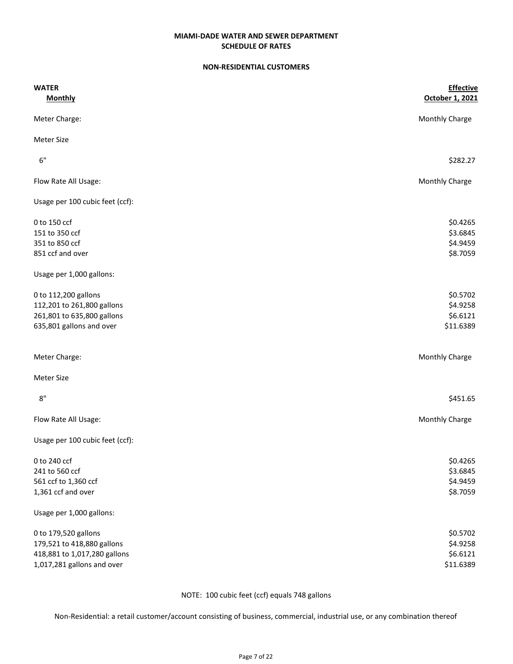#### NON-RESIDENTIAL CUSTOMERS

| <b>WATER</b><br><b>Monthly</b>  | <b>Effective</b><br>October 1, 2021 |
|---------------------------------|-------------------------------------|
|                                 |                                     |
| Meter Charge:                   | Monthly Charge                      |
| <b>Meter Size</b>               |                                     |
| 6"                              | \$282.27                            |
| Flow Rate All Usage:            | <b>Monthly Charge</b>               |
| Usage per 100 cubic feet (ccf): |                                     |
| 0 to 150 ccf                    | \$0.4265                            |
| 151 to 350 ccf                  | \$3.6845                            |
| 351 to 850 ccf                  | \$4.9459                            |
| 851 ccf and over                | \$8.7059                            |
| Usage per 1,000 gallons:        |                                     |
| 0 to 112,200 gallons            | \$0.5702                            |
| 112,201 to 261,800 gallons      | \$4.9258                            |
| 261,801 to 635,800 gallons      | \$6.6121                            |
| 635,801 gallons and over        | \$11.6389                           |
| Meter Charge:                   | Monthly Charge                      |
| Meter Size                      |                                     |
| 8"                              | \$451.65                            |
| Flow Rate All Usage:            | Monthly Charge                      |
| Usage per 100 cubic feet (ccf): |                                     |
| 0 to 240 ccf                    | \$0.4265                            |
| 241 to 560 ccf                  | \$3.6845                            |
| 561 ccf to 1,360 ccf            | \$4.9459                            |
| 1,361 ccf and over              | \$8.7059                            |
| Usage per 1,000 gallons:        |                                     |
| 0 to 179,520 gallons            | \$0.5702                            |
| 179,521 to 418,880 gallons      | \$4.9258                            |
| 418,881 to 1,017,280 gallons    | \$6.6121                            |
| 1,017,281 gallons and over      | \$11.6389                           |

NOTE: 100 cubic feet (ccf) equals 748 gallons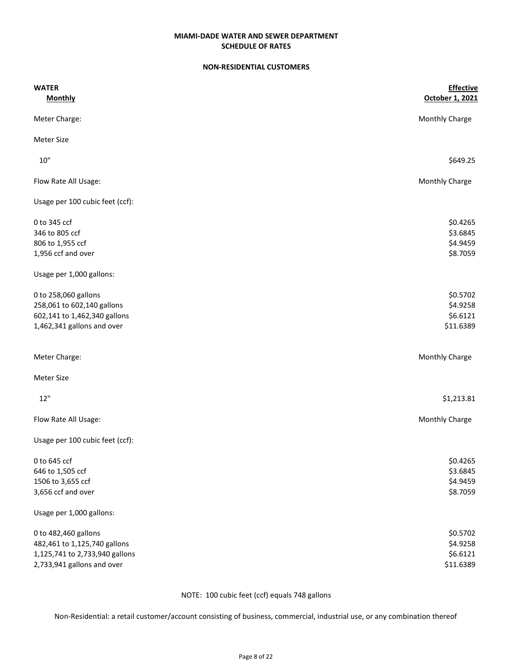#### NON-RESIDENTIAL CUSTOMERS

| <b>WATER</b>                    | <b>Effective</b> |
|---------------------------------|------------------|
| <b>Monthly</b>                  | October 1, 2021  |
| Meter Charge:                   | Monthly Charge   |
| <b>Meter Size</b>               |                  |
| 10"                             | \$649.25         |
| Flow Rate All Usage:            | Monthly Charge   |
| Usage per 100 cubic feet (ccf): |                  |
| 0 to 345 ccf                    | \$0.4265         |
| 346 to 805 ccf                  | \$3.6845         |
| 806 to 1,955 ccf                | \$4.9459         |
| 1,956 ccf and over              | \$8.7059         |
| Usage per 1,000 gallons:        |                  |
| 0 to 258,060 gallons            | \$0.5702         |
| 258,061 to 602,140 gallons      | \$4.9258         |
| 602,141 to 1,462,340 gallons    | \$6.6121         |
| 1,462,341 gallons and over      | \$11.6389        |
| Meter Charge:                   | Monthly Charge   |
| <b>Meter Size</b>               |                  |
| 12"                             | \$1,213.81       |
| Flow Rate All Usage:            | Monthly Charge   |
| Usage per 100 cubic feet (ccf): |                  |
| 0 to 645 ccf                    | \$0.4265         |
| 646 to 1,505 ccf                | \$3.6845         |
| 1506 to 3,655 ccf               | \$4.9459         |
| 3,656 ccf and over              | \$8.7059         |
| Usage per 1,000 gallons:        |                  |
| 0 to 482,460 gallons            | \$0.5702         |
| 482,461 to 1,125,740 gallons    | \$4.9258         |
| 1,125,741 to 2,733,940 gallons  | \$6.6121         |
| 2,733,941 gallons and over      | \$11.6389        |

NOTE: 100 cubic feet (ccf) equals 748 gallons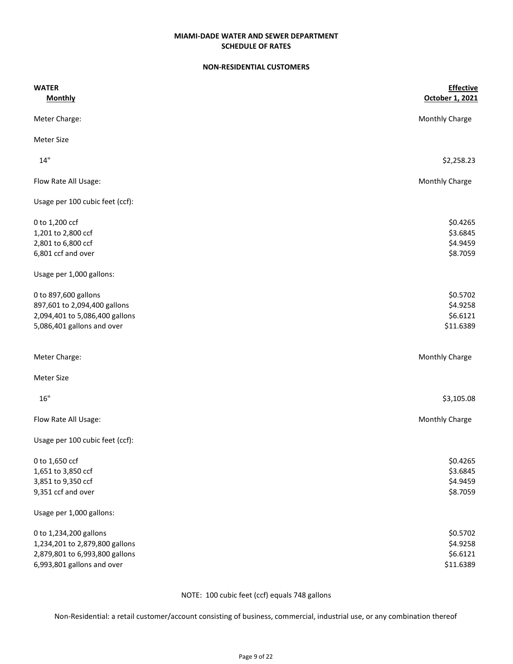#### NON-RESIDENTIAL CUSTOMERS

| <b>WATER</b>                    | <b>Effective</b> |
|---------------------------------|------------------|
| <b>Monthly</b>                  | October 1, 2021  |
| Meter Charge:                   | Monthly Charge   |
| <b>Meter Size</b>               |                  |
| 14"                             | \$2,258.23       |
| Flow Rate All Usage:            | Monthly Charge   |
| Usage per 100 cubic feet (ccf): |                  |
| 0 to 1,200 ccf                  | \$0.4265         |
| 1,201 to 2,800 ccf              | \$3.6845         |
| 2,801 to 6,800 ccf              | \$4.9459         |
| 6,801 ccf and over              | \$8.7059         |
| Usage per 1,000 gallons:        |                  |
| 0 to 897,600 gallons            | \$0.5702         |
| 897,601 to 2,094,400 gallons    | \$4.9258         |
| 2,094,401 to 5,086,400 gallons  | \$6.6121         |
| 5,086,401 gallons and over      | \$11.6389        |
| Meter Charge:                   | Monthly Charge   |
| <b>Meter Size</b>               |                  |
| 16"                             | \$3,105.08       |
| Flow Rate All Usage:            | Monthly Charge   |
| Usage per 100 cubic feet (ccf): |                  |
| 0 to 1,650 ccf                  | \$0.4265         |
| 1,651 to 3,850 ccf              | \$3.6845         |
| 3,851 to 9,350 ccf              | \$4.9459         |
| 9,351 ccf and over              | \$8.7059         |
| Usage per 1,000 gallons:        |                  |
| 0 to 1,234,200 gallons          | \$0.5702         |
| 1,234,201 to 2,879,800 gallons  | \$4.9258         |
| 2,879,801 to 6,993,800 gallons  | \$6.6121         |
| 6,993,801 gallons and over      | \$11.6389        |

NOTE: 100 cubic feet (ccf) equals 748 gallons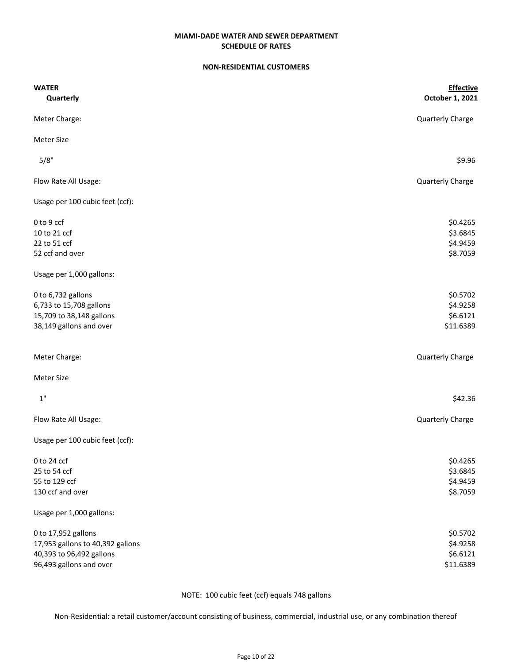### NON-RESIDENTIAL CUSTOMERS

| <b>WATER</b>                     | <b>Effective</b> |
|----------------------------------|------------------|
| <b>Quarterly</b>                 | October 1, 2021  |
| Meter Charge:                    | Quarterly Charge |
| <b>Meter Size</b>                |                  |
| 5/8"                             | \$9.96           |
| Flow Rate All Usage:             | Quarterly Charge |
| Usage per 100 cubic feet (ccf):  |                  |
| 0 to 9 ccf                       | \$0.4265         |
| 10 to 21 ccf                     | \$3.6845         |
| 22 to 51 ccf                     | \$4.9459         |
| 52 ccf and over                  | \$8.7059         |
| Usage per 1,000 gallons:         |                  |
| 0 to 6,732 gallons               | \$0.5702         |
| 6,733 to 15,708 gallons          | \$4.9258         |
| 15,709 to 38,148 gallons         | \$6.6121         |
| 38,149 gallons and over          | \$11.6389        |
| Meter Charge:                    | Quarterly Charge |
| <b>Meter Size</b>                |                  |
| $1"$                             | \$42.36          |
| Flow Rate All Usage:             | Quarterly Charge |
| Usage per 100 cubic feet (ccf):  |                  |
| 0 to 24 ccf                      | \$0.4265         |
| 25 to 54 ccf                     | \$3.6845         |
| 55 to 129 ccf                    | \$4.9459         |
| 130 ccf and over                 | \$8.7059         |
| Usage per 1,000 gallons:         |                  |
| 0 to 17,952 gallons              | \$0.5702         |
| 17,953 gallons to 40,392 gallons | \$4.9258         |
| 40,393 to 96,492 gallons         | \$6.6121         |
| 96,493 gallons and over          | \$11.6389        |

NOTE: 100 cubic feet (ccf) equals 748 gallons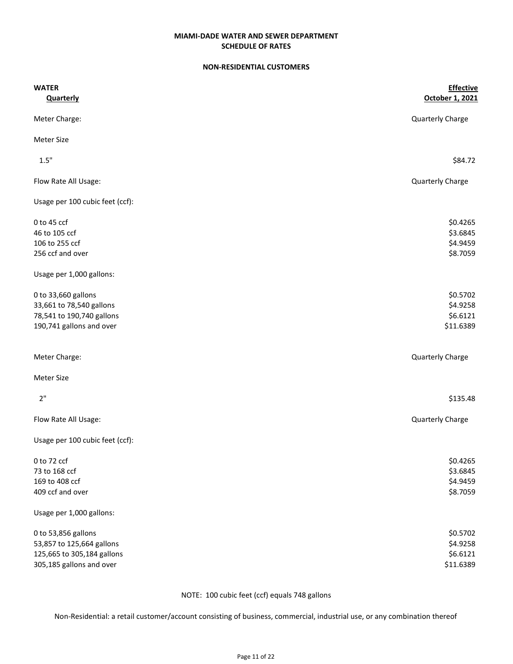#### NON-RESIDENTIAL CUSTOMERS

| <b>WATER</b>                    | <b>Effective</b> |
|---------------------------------|------------------|
| <b>Quarterly</b>                | October 1, 2021  |
| Meter Charge:                   | Quarterly Charge |
| <b>Meter Size</b>               |                  |
| 1.5"                            | \$84.72          |
| Flow Rate All Usage:            | Quarterly Charge |
| Usage per 100 cubic feet (ccf): |                  |
| 0 to 45 ccf                     | \$0.4265         |
| 46 to 105 ccf                   | \$3.6845         |
| 106 to 255 ccf                  | \$4.9459         |
| 256 ccf and over                | \$8.7059         |
| Usage per 1,000 gallons:        |                  |
| 0 to 33,660 gallons             | \$0.5702         |
| 33,661 to 78,540 gallons        | \$4.9258         |
| 78,541 to 190,740 gallons       | \$6.6121         |
| 190,741 gallons and over        | \$11.6389        |
| Meter Charge:                   | Quarterly Charge |
| <b>Meter Size</b>               |                  |
| 2"                              | \$135.48         |
| Flow Rate All Usage:            | Quarterly Charge |
| Usage per 100 cubic feet (ccf): |                  |
| 0 to 72 ccf                     | \$0.4265         |
| 73 to 168 ccf                   | \$3.6845         |
| 169 to 408 ccf                  | \$4.9459         |
| 409 ccf and over                | \$8.7059         |
| Usage per 1,000 gallons:        |                  |
| 0 to 53,856 gallons             | \$0.5702         |
| 53,857 to 125,664 gallons       | \$4.9258         |
| 125,665 to 305,184 gallons      | \$6.6121         |
| 305,185 gallons and over        | \$11.6389        |

NOTE: 100 cubic feet (ccf) equals 748 gallons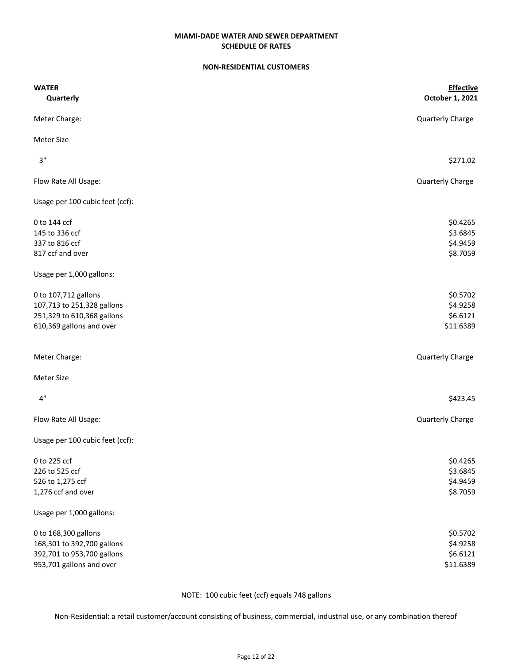#### NON-RESIDENTIAL CUSTOMERS

| <b>WATER</b>                    | <b>Effective</b> |
|---------------------------------|------------------|
| <b>Quarterly</b>                | October 1, 2021  |
| Meter Charge:                   | Quarterly Charge |
| <b>Meter Size</b>               |                  |
| 3"                              | \$271.02         |
| Flow Rate All Usage:            | Quarterly Charge |
| Usage per 100 cubic feet (ccf): |                  |
| 0 to 144 ccf                    | \$0.4265         |
| 145 to 336 ccf                  | \$3.6845         |
| 337 to 816 ccf                  | \$4.9459         |
| 817 ccf and over                | \$8.7059         |
| Usage per 1,000 gallons:        |                  |
| 0 to 107,712 gallons            | \$0.5702         |
| 107,713 to 251,328 gallons      | \$4.9258         |
| 251,329 to 610,368 gallons      | \$6.6121         |
| 610,369 gallons and over        | \$11.6389        |
| Meter Charge:                   | Quarterly Charge |
| <b>Meter Size</b>               |                  |
| 4"                              | \$423.45         |
| Flow Rate All Usage:            | Quarterly Charge |
| Usage per 100 cubic feet (ccf): |                  |
| 0 to 225 ccf                    | \$0.4265         |
| 226 to 525 ccf                  | \$3.6845         |
| 526 to 1,275 ccf                | \$4.9459         |
| 1,276 ccf and over              | \$8.7059         |
| Usage per 1,000 gallons:        |                  |
| 0 to 168,300 gallons            | \$0.5702         |
| 168,301 to 392,700 gallons      | \$4.9258         |
| 392,701 to 953,700 gallons      | \$6.6121         |
| 953,701 gallons and over        | \$11.6389        |

NOTE: 100 cubic feet (ccf) equals 748 gallons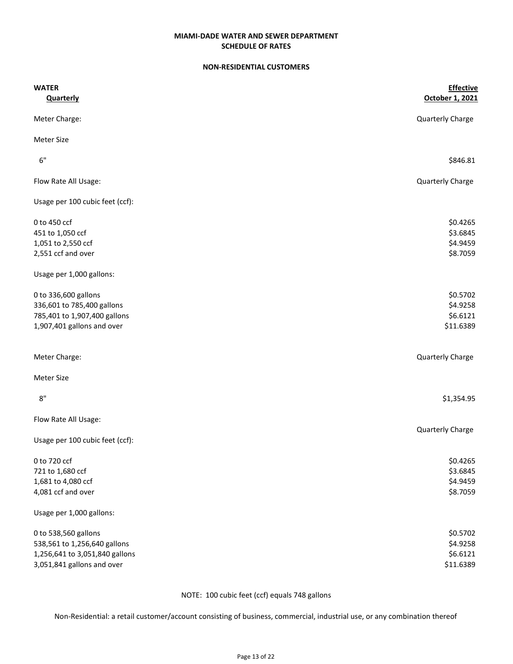#### NON-RESIDENTIAL CUSTOMERS

| <b>WATER</b>                    | <b>Effective</b> |
|---------------------------------|------------------|
| <b>Quarterly</b>                | October 1, 2021  |
| Meter Charge:                   | Quarterly Charge |
| <b>Meter Size</b>               |                  |
| 6"                              | \$846.81         |
| Flow Rate All Usage:            | Quarterly Charge |
| Usage per 100 cubic feet (ccf): |                  |
| 0 to 450 ccf                    | \$0.4265         |
| 451 to 1,050 ccf                | \$3.6845         |
| 1,051 to 2,550 ccf              | \$4.9459         |
| 2,551 ccf and over              | \$8.7059         |
| Usage per 1,000 gallons:        |                  |
| 0 to 336,600 gallons            | \$0.5702         |
| 336,601 to 785,400 gallons      | \$4.9258         |
| 785,401 to 1,907,400 gallons    | \$6.6121         |
| 1,907,401 gallons and over      | \$11.6389        |
| Meter Charge:                   | Quarterly Charge |
| <b>Meter Size</b>               |                  |
| 8"                              | \$1,354.95       |
| Flow Rate All Usage:            |                  |
| Usage per 100 cubic feet (ccf): | Quarterly Charge |
| 0 to 720 ccf                    | \$0.4265         |
| 721 to 1,680 ccf                | \$3.6845         |
| 1,681 to 4,080 ccf              | \$4.9459         |
| 4,081 ccf and over              | \$8.7059         |
| Usage per 1,000 gallons:        |                  |
| 0 to 538,560 gallons            | \$0.5702         |
| 538,561 to 1,256,640 gallons    | \$4.9258         |
| 1,256,641 to 3,051,840 gallons  | \$6.6121         |
| 3,051,841 gallons and over      | \$11.6389        |

NOTE: 100 cubic feet (ccf) equals 748 gallons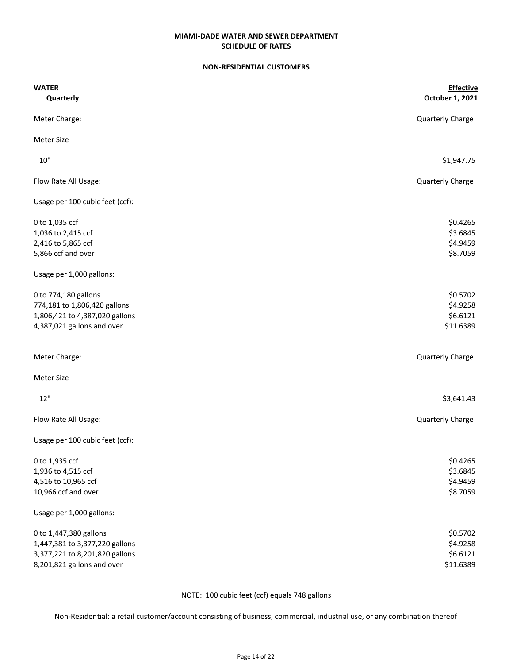#### NON-RESIDENTIAL CUSTOMERS

| <b>WATER</b>                    | <b>Effective</b> |
|---------------------------------|------------------|
| <b>Quarterly</b>                | October 1, 2021  |
| Meter Charge:                   | Quarterly Charge |
| <b>Meter Size</b>               |                  |
| $10"$                           | \$1,947.75       |
| Flow Rate All Usage:            | Quarterly Charge |
| Usage per 100 cubic feet (ccf): |                  |
| 0 to 1,035 ccf                  | \$0.4265         |
| 1,036 to 2,415 ccf              | \$3.6845         |
| 2,416 to 5,865 ccf              | \$4.9459         |
| 5,866 ccf and over              | \$8.7059         |
| Usage per 1,000 gallons:        |                  |
| 0 to 774,180 gallons            | \$0.5702         |
| 774,181 to 1,806,420 gallons    | \$4.9258         |
| 1,806,421 to 4,387,020 gallons  | \$6.6121         |
| 4,387,021 gallons and over      | \$11.6389        |
| Meter Charge:                   | Quarterly Charge |
| <b>Meter Size</b>               |                  |
| 12"                             | \$3,641.43       |
| Flow Rate All Usage:            | Quarterly Charge |
| Usage per 100 cubic feet (ccf): |                  |
| 0 to 1,935 ccf                  | \$0.4265         |
| 1,936 to 4,515 ccf              | \$3.6845         |
| 4,516 to 10,965 ccf             | \$4.9459         |
| 10,966 ccf and over             | \$8.7059         |
| Usage per 1,000 gallons:        |                  |
| 0 to 1,447,380 gallons          | \$0.5702         |
| 1,447,381 to 3,377,220 gallons  | \$4.9258         |
| 3,377,221 to 8,201,820 gallons  | \$6.6121         |
| 8,201,821 gallons and over      | \$11.6389        |

NOTE: 100 cubic feet (ccf) equals 748 gallons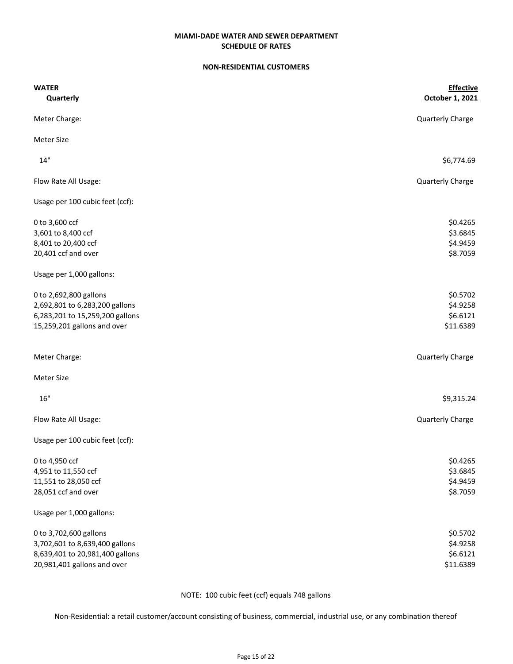## SCHEDULE OF RATES MIAMI-DADE WATER AND SEWER DEPARTMENT

### NON-RESIDENTIAL CUSTOMERS

| <b>WATER</b>                    | <b>Effective</b><br>October 1, 2021 |
|---------------------------------|-------------------------------------|
| <b>Quarterly</b>                |                                     |
| Meter Charge:                   | Quarterly Charge                    |
| <b>Meter Size</b>               |                                     |
| 14"                             | \$6,774.69                          |
| Flow Rate All Usage:            | Quarterly Charge                    |
| Usage per 100 cubic feet (ccf): |                                     |
| 0 to 3,600 ccf                  | \$0.4265                            |
| 3,601 to 8,400 ccf              | \$3.6845                            |
| 8,401 to 20,400 ccf             | \$4.9459                            |
| 20,401 ccf and over             | \$8.7059                            |
| Usage per 1,000 gallons:        |                                     |
| 0 to 2,692,800 gallons          | \$0.5702                            |
| 2,692,801 to 6,283,200 gallons  | \$4.9258                            |
| 6,283,201 to 15,259,200 gallons | \$6.6121                            |
| 15,259,201 gallons and over     | \$11.6389                           |
| Meter Charge:                   | Quarterly Charge                    |
| <b>Meter Size</b>               |                                     |
| 16"                             | \$9,315.24                          |
| Flow Rate All Usage:            | Quarterly Charge                    |
| Usage per 100 cubic feet (ccf): |                                     |
| 0 to 4,950 ccf                  | \$0.4265                            |
| 4,951 to 11,550 ccf             | \$3.6845                            |
| 11,551 to 28,050 ccf            | \$4.9459                            |
| 28,051 ccf and over             | \$8.7059                            |
| Usage per 1,000 gallons:        |                                     |
| 0 to 3,702,600 gallons          | \$0.5702                            |
| 3,702,601 to 8,639,400 gallons  | \$4.9258                            |
| 8,639,401 to 20,981,400 gallons | \$6.6121                            |
| 20,981,401 gallons and over     | \$11.6389                           |

NOTE: 100 cubic feet (ccf) equals 748 gallons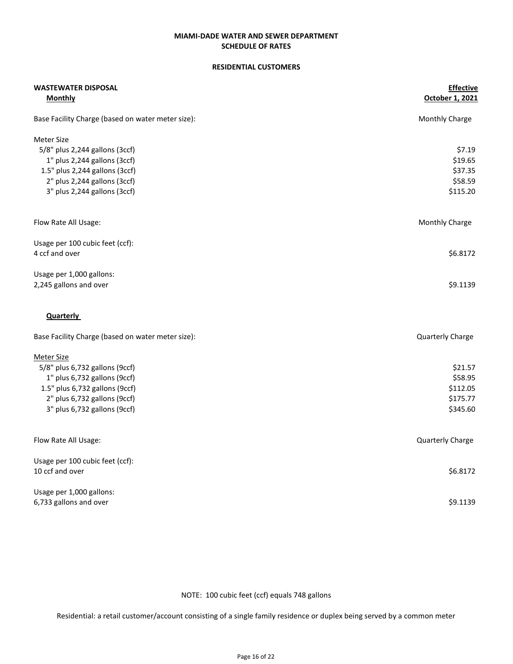#### RESIDENTIAL CUSTOMERS

| <b>WASTEWATER DISPOSAL</b>                        | <b>Effective</b> |
|---------------------------------------------------|------------------|
| <b>Monthly</b>                                    | October 1, 2021  |
| Base Facility Charge (based on water meter size): | Monthly Charge   |
| <b>Meter Size</b>                                 |                  |
| 5/8" plus 2,244 gallons (3ccf)                    | \$7.19           |
| 1" plus 2,244 gallons (3ccf)                      | \$19.65          |
| 1.5" plus 2,244 gallons (3ccf)                    | \$37.35          |
| 2" plus 2,244 gallons (3ccf)                      | \$58.59          |
| 3" plus 2,244 gallons (3ccf)                      | \$115.20         |
| Flow Rate All Usage:                              | Monthly Charge   |
|                                                   |                  |
| Usage per 100 cubic feet (ccf):                   |                  |
| 4 ccf and over                                    | \$6.8172         |
| Usage per 1,000 gallons:                          |                  |
| 2,245 gallons and over                            | \$9.1139         |
| Quarterly                                         |                  |
| Base Facility Charge (based on water meter size): | Quarterly Charge |
| <b>Meter Size</b>                                 |                  |
| 5/8" plus 6,732 gallons (9ccf)                    | \$21.57          |
| 1" plus 6,732 gallons (9ccf)                      | \$58.95          |
| 1.5" plus 6,732 gallons (9ccf)                    | \$112.05         |
| 2" plus 6,732 gallons (9ccf)                      | \$175.77         |
| 3" plus 6,732 gallons (9ccf)                      | \$345.60         |
| Flow Rate All Usage:                              | Quarterly Charge |
|                                                   |                  |
| Usage per 100 cubic feet (ccf):                   |                  |
| 10 ccf and over                                   | \$6.8172         |
| Usage per 1,000 gallons:                          |                  |
| 6,733 gallons and over                            | \$9.1139         |

NOTE: 100 cubic feet (ccf) equals 748 gallons

Residential: a retail customer/account consisting of a single family residence or duplex being served by a common meter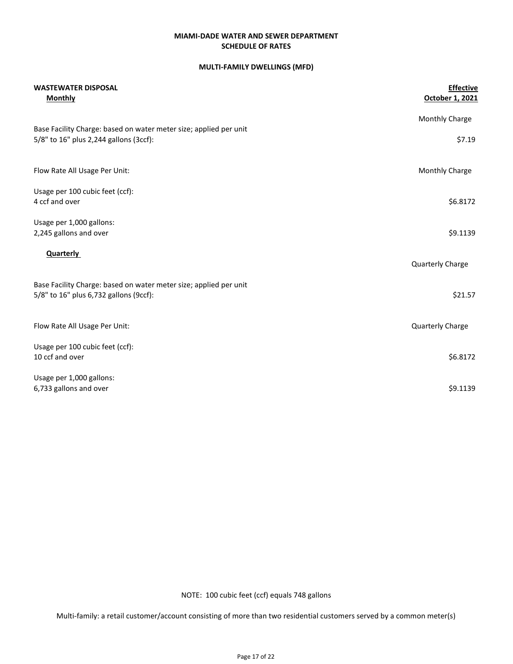### MULTI-FAMILY DWELLINGS (MFD)

| <b>WASTEWATER DISPOSAL</b><br><b>Monthly</b>                                                                | <b>Effective</b><br>October 1, 2021 |
|-------------------------------------------------------------------------------------------------------------|-------------------------------------|
|                                                                                                             | Monthly Charge                      |
| Base Facility Charge: based on water meter size; applied per unit<br>5/8" to 16" plus 2,244 gallons (3ccf): | \$7.19                              |
| Flow Rate All Usage Per Unit:                                                                               | Monthly Charge                      |
| Usage per 100 cubic feet (ccf):                                                                             |                                     |
| 4 ccf and over                                                                                              | \$6.8172                            |
| Usage per 1,000 gallons:                                                                                    |                                     |
| 2,245 gallons and over                                                                                      | \$9.1139                            |
| <b>Quarterly</b>                                                                                            | Quarterly Charge                    |
| Base Facility Charge: based on water meter size; applied per unit<br>5/8" to 16" plus 6,732 gallons (9ccf): | \$21.57                             |
| Flow Rate All Usage Per Unit:                                                                               | Quarterly Charge                    |
| Usage per 100 cubic feet (ccf):                                                                             |                                     |
| 10 ccf and over                                                                                             | \$6.8172                            |
| Usage per 1,000 gallons:                                                                                    |                                     |
| 6,733 gallons and over                                                                                      | \$9.1139                            |

NOTE: 100 cubic feet (ccf) equals 748 gallons

Multi-family: a retail customer/account consisting of more than two residential customers served by a common meter(s)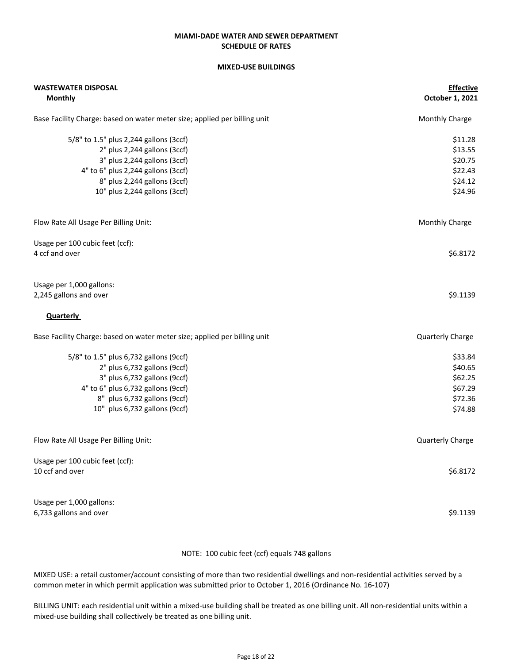# MIXED-USE BUILDINGS

| <b>WASTEWATER DISPOSAL</b><br><b>Monthly</b>                              | <b>Effective</b><br>October 1, 2021 |
|---------------------------------------------------------------------------|-------------------------------------|
|                                                                           |                                     |
| Base Facility Charge: based on water meter size; applied per billing unit | Monthly Charge                      |
| 5/8" to 1.5" plus 2,244 gallons (3ccf)                                    | \$11.28                             |
| 2" plus 2,244 gallons (3ccf)                                              | \$13.55                             |
| 3" plus 2,244 gallons (3ccf)                                              | \$20.75                             |
| 4" to 6" plus 2,244 gallons (3ccf)                                        | \$22.43                             |
| 8" plus 2,244 gallons (3ccf)                                              | \$24.12                             |
| 10" plus 2,244 gallons (3ccf)                                             | \$24.96                             |
| Flow Rate All Usage Per Billing Unit:                                     | <b>Monthly Charge</b>               |
| Usage per 100 cubic feet (ccf):                                           |                                     |
| 4 ccf and over                                                            | \$6.8172                            |
| Usage per 1,000 gallons:                                                  |                                     |
| 2,245 gallons and over                                                    | \$9.1139                            |
| <b>Quarterly</b>                                                          |                                     |
| Base Facility Charge: based on water meter size; applied per billing unit | Quarterly Charge                    |
| 5/8" to 1.5" plus 6,732 gallons (9ccf)                                    | \$33.84                             |
| 2" plus 6,732 gallons (9ccf)                                              | \$40.65                             |
| 3" plus 6,732 gallons (9ccf)                                              | \$62.25                             |
| 4" to 6" plus 6,732 gallons (9ccf)                                        | \$67.29                             |
| 8" plus 6,732 gallons (9ccf)                                              | \$72.36                             |
| 10" plus 6,732 gallons (9ccf)                                             | \$74.88                             |
| Flow Rate All Usage Per Billing Unit:                                     | Quarterly Charge                    |
| Usage per 100 cubic feet (ccf):                                           |                                     |
| 10 ccf and over                                                           | \$6.8172                            |
| Usage per 1,000 gallons:                                                  |                                     |
| 6,733 gallons and over                                                    | \$9.1139                            |

NOTE: 100 cubic feet (ccf) equals 748 gallons

MIXED USE: a retail customer/account consisting of more than two residential dwellings and non-residential activities served by a common meter in which permit application was submitted prior to October 1, 2016 (Ordinance No. 16-107)

BILLING UNIT: each residential unit within a mixed-use building shall be treated as one billing unit. All non-residential units within a mixed-use building shall collectively be treated as one billing unit.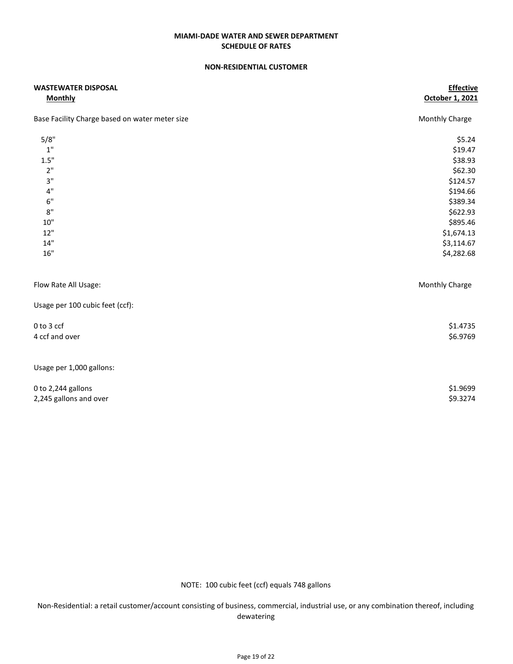## SCHEDULE OF RATES MIAMI-DADE WATER AND SEWER DEPARTMENT

#### NON-RESIDENTIAL CUSTOMER

| <b>WASTEWATER DISPOSAL</b>                     | <b>Effective</b><br>October 1, 2021 |
|------------------------------------------------|-------------------------------------|
| <b>Monthly</b>                                 |                                     |
| Base Facility Charge based on water meter size | Monthly Charge                      |
| 5/8"                                           | \$5.24                              |
| $1"$                                           | \$19.47                             |
| 1.5"                                           | \$38.93                             |
| 2"                                             | \$62.30                             |
| 3"                                             | \$124.57                            |
| $4"$                                           | \$194.66                            |
| $6"$                                           | \$389.34                            |
| 8"                                             | \$622.93                            |
| 10"                                            | \$895.46                            |
| 12"                                            | \$1,674.13                          |
| 14"                                            | \$3,114.67                          |
| 16"                                            | \$4,282.68                          |
| Flow Rate All Usage:                           | Monthly Charge                      |
| Usage per 100 cubic feet (ccf):                |                                     |
| 0 to 3 ccf                                     | \$1.4735                            |
| 4 ccf and over                                 | \$6.9769                            |
| Usage per 1,000 gallons:                       |                                     |
| 0 to 2,244 gallons                             | \$1.9699                            |
| 2,245 gallons and over                         | \$9.3274                            |

NOTE: 100 cubic feet (ccf) equals 748 gallons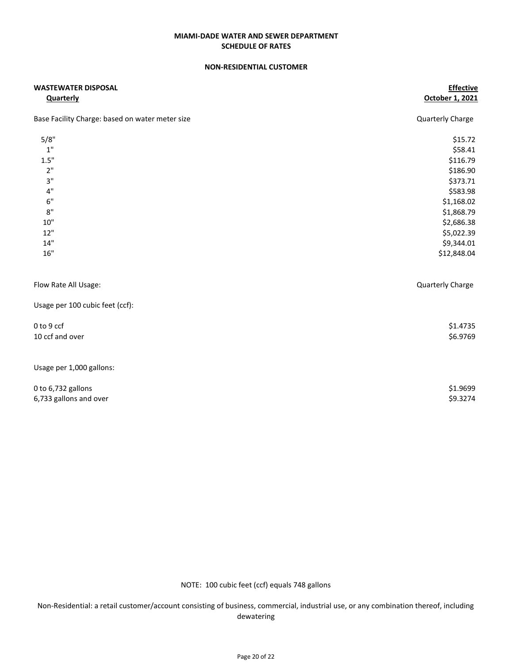#### NON-RESIDENTIAL CUSTOMER

| <b>WASTEWATER DISPOSAL</b>                      | <b>Effective</b><br>October 1, 2021 |
|-------------------------------------------------|-------------------------------------|
| <b>Quarterly</b>                                |                                     |
| Base Facility Charge: based on water meter size | Quarterly Charge                    |
| 5/8"                                            | \$15.72                             |
| $1"$                                            | \$58.41                             |
| 1.5"                                            | \$116.79                            |
| 2"                                              | \$186.90                            |
| 3"                                              | \$373.71                            |
| 4"                                              | \$583.98                            |
| $6"$                                            | \$1,168.02                          |
| 8"                                              | \$1,868.79                          |
| $10"$                                           | \$2,686.38                          |
| 12"                                             | \$5,022.39                          |
| 14"                                             | \$9,344.01                          |
| $16"$                                           | \$12,848.04                         |
| Flow Rate All Usage:                            | Quarterly Charge                    |
| Usage per 100 cubic feet (ccf):                 |                                     |
| 0 to 9 ccf                                      | \$1.4735                            |
| 10 ccf and over                                 | \$6.9769                            |
| Usage per 1,000 gallons:                        |                                     |
| 0 to 6,732 gallons                              | \$1.9699                            |
| 6,733 gallons and over                          | \$9.3274                            |

NOTE: 100 cubic feet (ccf) equals 748 gallons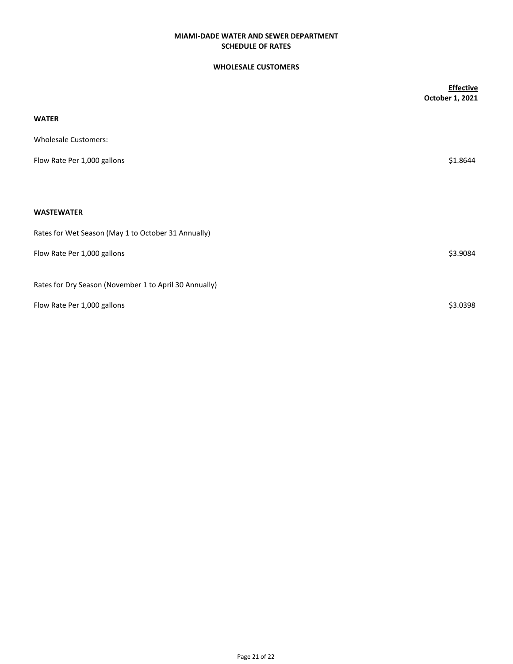## WHOLESALE CUSTOMERS

|                                                        | <b>Effective</b> |
|--------------------------------------------------------|------------------|
|                                                        | October 1, 2021  |
| <b>WATER</b>                                           |                  |
| <b>Wholesale Customers:</b>                            |                  |
| Flow Rate Per 1,000 gallons                            | \$1.8644         |
|                                                        |                  |
| <b>WASTEWATER</b>                                      |                  |
| Rates for Wet Season (May 1 to October 31 Annually)    |                  |
| Flow Rate Per 1,000 gallons                            | \$3.9084         |
| Rates for Dry Season (November 1 to April 30 Annually) |                  |
| Flow Rate Per 1,000 gallons                            | \$3.0398         |